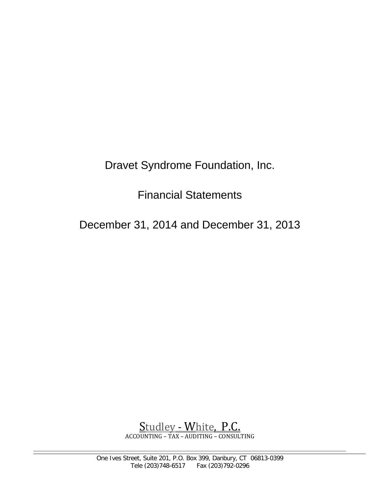Dravet Syndrome Foundation, Inc.

Financial Statements

December 31, 2014 and December 31, 2013

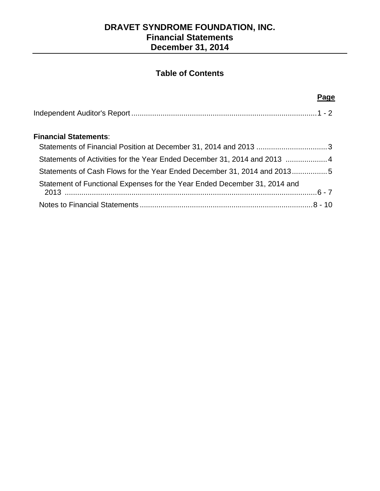# **DRAVET SYNDROME FOUNDATION, INC. Financial Statements December 31, 2014**

# **Table of Contents**

#### **Page** (2008) and the contract of the contract of the contract of the contract of the contract of the contract of the contract of the contract of the contract of the contract of the contract of the contract of the contract

## **Financial Statements**:

| Statements of Activities for the Year Ended December 31, 2014 and 2013  4 |  |
|---------------------------------------------------------------------------|--|
| Statements of Cash Flows for the Year Ended December 31, 2014 and 20135   |  |
| Statement of Functional Expenses for the Year Ended December 31, 2014 and |  |
|                                                                           |  |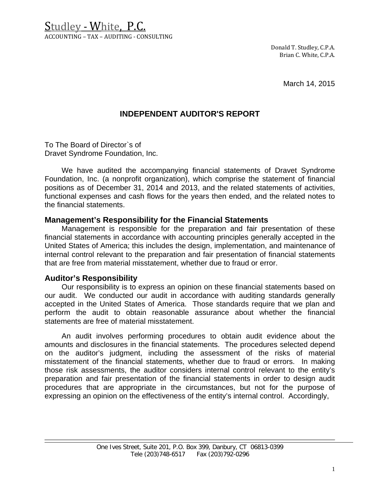Studley - White, P.C. ACCOUNTING – TAX – AUDITING - CONSULTING

> Donald T. Studley, C.P.A. Brian C. White, C.P.A.

> > March 14, 2015

# **INDEPENDENT AUDITOR'S REPORT**

To The Board of Director`s of Dravet Syndrome Foundation, Inc.

We have audited the accompanying financial statements of Dravet Syndrome Foundation, Inc. (a nonprofit organization), which comprise the statement of financial positions as of December 31, 2014 and 2013, and the related statements of activities, functional expenses and cash flows for the years then ended, and the related notes to the financial statements.

### **Management's Responsibility for the Financial Statements**

Management is responsible for the preparation and fair presentation of these financial statements in accordance with accounting principles generally accepted in the United States of America; this includes the design, implementation, and maintenance of internal control relevant to the preparation and fair presentation of financial statements that are free from material misstatement, whether due to fraud or error.

### **Auditor's Responsibility**

Our responsibility is to express an opinion on these financial statements based on our audit. We conducted our audit in accordance with auditing standards generally accepted in the United States of America. Those standards require that we plan and perform the audit to obtain reasonable assurance about whether the financial statements are free of material misstatement.

An audit involves performing procedures to obtain audit evidence about the amounts and disclosures in the financial statements. The procedures selected depend on the auditor's judgment, including the assessment of the risks of material misstatement of the financial statements, whether due to fraud or errors. In making those risk assessments, the auditor considers internal control relevant to the entity's preparation and fair presentation of the financial statements in order to design audit procedures that are appropriate in the circumstances, but not for the purpose of expressing an opinion on the effectiveness of the entity's internal control. Accordingly,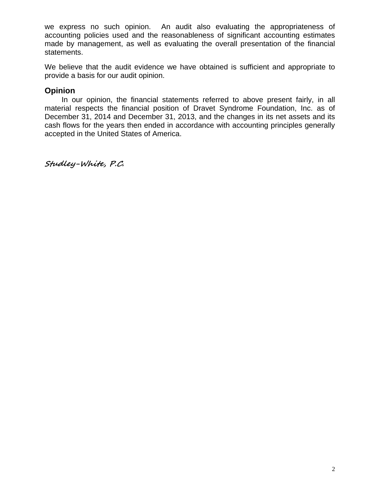we express no such opinion. An audit also evaluating the appropriateness of accounting policies used and the reasonableness of significant accounting estimates made by management, as well as evaluating the overall presentation of the financial statements.

We believe that the audit evidence we have obtained is sufficient and appropriate to provide a basis for our audit opinion.

### **Opinion**

In our opinion, the financial statements referred to above present fairly, in all material respects the financial position of Dravet Syndrome Foundation, Inc. as of December 31, 2014 and December 31, 2013, and the changes in its net assets and its cash flows for the years then ended in accordance with accounting principles generally accepted in the United States of America.

**Studley-White, P.C.**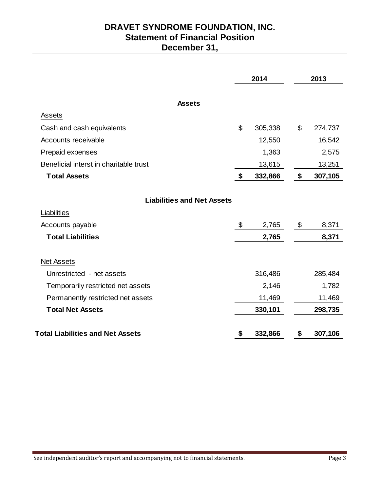# **DRAVET SYNDROME FOUNDATION, INC. Statement of Financial Position December 31,**

|                                         | 2014          | 2013          |
|-----------------------------------------|---------------|---------------|
| <b>Assets</b>                           |               |               |
| Assets                                  |               |               |
| Cash and cash equivalents               | \$<br>305,338 | \$<br>274,737 |
| Accounts receivable                     | 12,550        | 16,542        |
| Prepaid expenses                        | 1,363         | 2,575         |
| Beneficial interst in charitable trust  | 13,615        | 13,251        |
| <b>Total Assets</b>                     | \$<br>332,866 | \$<br>307,105 |
| <b>Liabilities and Net Assets</b>       |               |               |
| Liabilities                             |               |               |
| Accounts payable                        | \$<br>2,765   | \$<br>8,371   |
| <b>Total Liabilities</b>                | 2,765         | 8,371         |
| <b>Net Assets</b>                       |               |               |
| Unrestricted - net assets               | 316,486       | 285,484       |
| Temporarily restricted net assets       | 2,146         | 1,782         |
| Permanently restricted net assets       | 11,469        | 11,469        |
| <b>Total Net Assets</b>                 | 330,101       | 298,735       |
| <b>Total Liabilities and Net Assets</b> | \$<br>332,866 | \$<br>307,106 |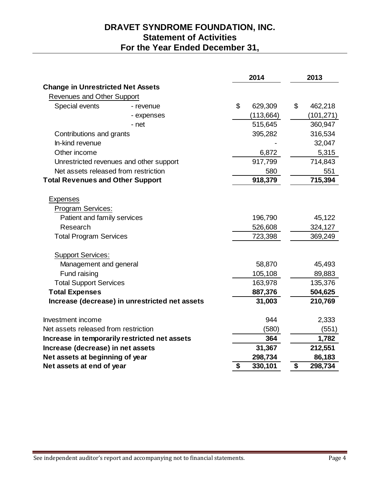# **DRAVET SYNDROME FOUNDATION, INC. Statement of Activities For the Year Ended December 31,**

|                                                                                                                                                                                                                                                  |                                                |                | 2014                                                                     | 2013 |                                                                        |  |
|--------------------------------------------------------------------------------------------------------------------------------------------------------------------------------------------------------------------------------------------------|------------------------------------------------|----------------|--------------------------------------------------------------------------|------|------------------------------------------------------------------------|--|
| <b>Change in Unrestricted Net Assets</b>                                                                                                                                                                                                         |                                                |                |                                                                          |      |                                                                        |  |
| Revenues and Other Support                                                                                                                                                                                                                       |                                                |                |                                                                          |      |                                                                        |  |
| Special events                                                                                                                                                                                                                                   | - revenue                                      | $\mathfrak{S}$ | 629,309                                                                  | \$   | 462,218                                                                |  |
|                                                                                                                                                                                                                                                  | - expenses                                     |                | (113, 664)                                                               |      | (101, 271)                                                             |  |
|                                                                                                                                                                                                                                                  | - net                                          |                | 515,645                                                                  |      | 360,947                                                                |  |
| Contributions and grants                                                                                                                                                                                                                         |                                                |                | 395,282                                                                  |      | 316,534                                                                |  |
| In-kind revenue                                                                                                                                                                                                                                  |                                                |                |                                                                          |      | 32,047                                                                 |  |
| Other income                                                                                                                                                                                                                                     |                                                |                | 6,872                                                                    |      | 5,315                                                                  |  |
|                                                                                                                                                                                                                                                  | Unrestricted revenues and other support        |                | 917,799                                                                  |      | 714,843                                                                |  |
| Net assets released from restriction                                                                                                                                                                                                             |                                                |                | 580                                                                      |      | 551                                                                    |  |
| <b>Total Revenues and Other Support</b>                                                                                                                                                                                                          |                                                |                | 918,379                                                                  |      | 715,394                                                                |  |
| <b>Expenses</b><br>Program Services:<br>Patient and family services<br>Research<br><b>Total Program Services</b><br><b>Support Services:</b><br>Management and general<br>Fund raising<br><b>Total Support Services</b><br><b>Total Expenses</b> |                                                |                | 196,790<br>526,608<br>723,398<br>58,870<br>105,108<br>163,978<br>887,376 |      | 45,122<br>324,127<br>369,249<br>45,493<br>89,883<br>135,376<br>504,625 |  |
|                                                                                                                                                                                                                                                  | Increase (decrease) in unrestricted net assets |                | 31,003                                                                   |      | 210,769                                                                |  |
| Investment income<br>Net assets released from restriction                                                                                                                                                                                        |                                                |                | 944                                                                      |      | 2,333                                                                  |  |
|                                                                                                                                                                                                                                                  |                                                |                | (580)<br>364                                                             |      | (551)                                                                  |  |
| Increase (decrease) in net assets                                                                                                                                                                                                                | Increase in temporarily restricted net assets  |                | 31,367                                                                   |      | 1,782<br>212,551                                                       |  |
| Net assets at beginning of year                                                                                                                                                                                                                  |                                                |                | 298,734                                                                  |      | 86,183                                                                 |  |
| Net assets at end of year                                                                                                                                                                                                                        |                                                | \$             | 330,101                                                                  | \$   | 298,734                                                                |  |
|                                                                                                                                                                                                                                                  |                                                |                |                                                                          |      |                                                                        |  |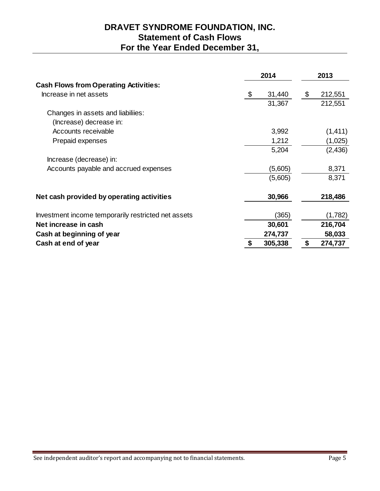# **DRAVET SYNDROME FOUNDATION, INC. Statement of Cash Flows For the Year Ended December 31,**

|                                                     | 2014         | 2013          |
|-----------------------------------------------------|--------------|---------------|
| <b>Cash Flows from Operating Activities:</b>        |              |               |
| Increase in net assets                              | \$<br>31,440 | \$<br>212,551 |
|                                                     | 31,367       | 212,551       |
| Changes in assets and liabiliies:                   |              |               |
| (Increase) decrease in:                             |              |               |
| Accounts receivable                                 | 3,992        | (1, 411)      |
| Prepaid expenses                                    | 1,212        | (1,025)       |
|                                                     | 5,204        | (2, 436)      |
| Increase (decrease) in:                             |              |               |
| Accounts payable and accrued expenses               | (5,605)      | 8,371         |
|                                                     | (5,605)      | 8,371         |
| Net cash provided by operating activities           | 30,966       | 218,486       |
| Investment income temporarily restricted net assets | (365)        | (1,782)       |
| Net increase in cash                                | 30,601       | 216,704       |
| Cash at beginning of year                           | 274,737      | 58,033        |
| Cash at end of year                                 | 305,338      | \$<br>274,737 |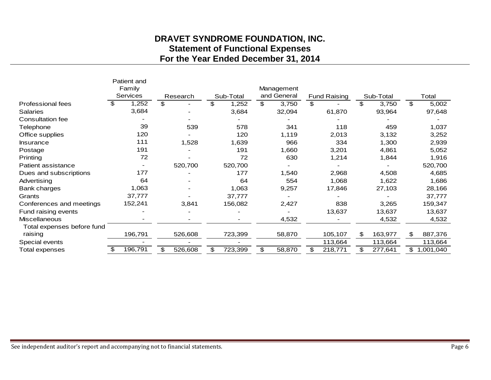# **DRAVET SYNDROME FOUNDATION, INC. Statement of Functional Expenses For the Year Ended December 31, 2014**

|                            |          | Patient and |          |         |               |    |             |    |                     |    |           |                |           |
|----------------------------|----------|-------------|----------|---------|---------------|----|-------------|----|---------------------|----|-----------|----------------|-----------|
|                            |          | Family      |          |         |               |    | Management  |    |                     |    |           |                |           |
|                            | Services |             | Research |         | Sub-Total     |    | and General |    | <b>Fund Raising</b> |    | Sub-Total |                | Total     |
| <b>Professional fees</b>   | \$       | 1,252       | \$       |         | \$<br>1,252   | \$ | 3,750       | \$ |                     | \$ | 3,750     | \$             | 5,002     |
| <b>Salaries</b>            |          | 3,684       |          |         | 3,684         |    | 32,094      |    | 61,870              |    | 93,964    |                | 97,648    |
| Consultation fee           |          |             |          |         |               |    |             |    |                     |    |           |                |           |
| Telephone                  |          | 39          |          | 539     | 578           |    | 341         |    | 118                 |    | 459       |                | 1,037     |
| Office supplies            |          | 120         |          |         | 120           |    | 1,119       |    | 2,013               |    | 3,132     |                | 3,252     |
| <b>Insurance</b>           |          | 111         |          | 1,528   | 1,639         |    | 966         |    | 334                 |    | 1,300     |                | 2,939     |
| Postage                    |          | 191         |          |         | 191           |    | 1,660       |    | 3,201               |    | 4,861     |                | 5,052     |
| Printing                   |          | 72          |          |         | 72            |    | 630         |    | 1,214               |    | 1,844     |                | 1,916     |
| Patient assistance         |          |             |          | 520,700 | 520,700       |    |             |    |                     |    |           |                | 520,700   |
| Dues and subscriptions     |          | 177         |          |         | 177           |    | 1,540       |    | 2,968               |    | 4,508     |                | 4,685     |
| Advertising                |          | 64          |          |         | 64            |    | 554         |    | 1,068               |    | 1,622     |                | 1,686     |
| Bank charges               |          | 1,063       |          |         | 1,063         |    | 9,257       |    | 17,846              |    | 27,103    |                | 28,166    |
| Grants                     |          | 37,777      |          |         | 37,777        |    |             |    |                     |    |           |                | 37,777    |
| Conferences and meetings   |          | 152,241     |          | 3,841   | 156,082       |    | 2,427       |    | 838                 |    | 3,265     |                | 159,347   |
| Fund raising events        |          |             |          |         |               |    |             |    | 13,637              |    | 13,637    |                | 13,637    |
| <b>Miscellaneous</b>       |          |             |          |         |               |    | 4,532       |    |                     |    | 4,532     |                | 4,532     |
| Total expenses before fund |          |             |          |         |               |    |             |    |                     |    |           |                |           |
| raising                    |          | 196,791     |          | 526,608 | 723,399       |    | 58,870      |    | 105,107             | \$ | 163,977   | \$             | 887,376   |
| Special events             |          |             |          |         |               |    |             |    | 113,664             |    | 113,664   |                | 113,664   |
| Total expenses             | S        | 196,791     | \$       | 526,608 | \$<br>723,399 | \$ | 58,870      | \$ | 218,771             | \$ | 277,641   | $\mathfrak{L}$ | 1,001,040 |
|                            |          |             |          |         |               |    |             |    |                     |    |           |                |           |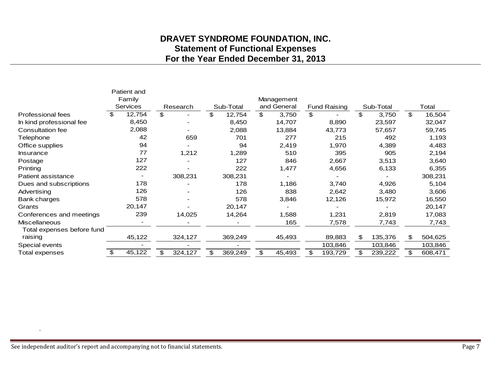# **DRAVET SYNDROME FOUNDATION, INC. Statement of Functional Expenses For the Year Ended December 31, 2013**

|                            |          | Patient and |               |    |           |    |             |    |                     |    |           |    |         |
|----------------------------|----------|-------------|---------------|----|-----------|----|-------------|----|---------------------|----|-----------|----|---------|
|                            |          | Family      |               |    |           |    | Management  |    |                     |    |           |    |         |
|                            | Services |             | Research      |    | Sub-Total |    | and General |    | <b>Fund Raising</b> |    | Sub-Total |    | Total   |
| <b>Professional fees</b>   |          | 12,754      | \$            | \$ | 12,754    | \$ | 3,750       | \$ |                     | \$ | 3,750     | \$ | 16,504  |
| In kind professional fee   |          | 8,450       |               |    | 8,450     |    | 14,707      |    | 8,890               |    | 23,597    |    | 32,047  |
| Consultation fee           |          | 2,088       |               |    | 2,088     |    | 13,884      |    | 43,773              |    | 57,657    |    | 59,745  |
| Telephone                  |          | 42          | 659           |    | 701       |    | 277         |    | 215                 |    | 492       |    | 1,193   |
| Office supplies            |          | 94          |               |    | 94        |    | 2,419       |    | 1,970               |    | 4,389     |    | 4,483   |
| <b>Insurance</b>           |          | 77          | 1,212         |    | 1,289     |    | 510         |    | 395                 |    | 905       |    | 2,194   |
| Postage                    |          | 127         |               |    | 127       |    | 846         |    | 2,667               |    | 3,513     |    | 3,640   |
| Printing                   |          | 222         |               |    | 222       |    | 1,477       |    | 4,656               |    | 6,133     |    | 6,355   |
| Patient assistance         |          |             | 308,231       |    | 308,231   |    |             |    |                     |    |           |    | 308,231 |
| Dues and subscriptions     |          | 178         |               |    | 178       |    | 1,186       |    | 3,740               |    | 4,926     |    | 5,104   |
| Advertising                |          | 126         |               |    | 126       |    | 838         |    | 2,642               |    | 3,480     |    | 3,606   |
| Bank charges               |          | 578         |               |    | 578       |    | 3,846       |    | 12,126              |    | 15,972    |    | 16,550  |
| Grants                     |          | 20,147      |               |    | 20,147    |    |             |    |                     |    |           |    | 20,147  |
| Conferences and meetings   |          | 239         | 14,025        |    | 14,264    |    | 1,588       |    | 1,231               |    | 2,819     |    | 17,083  |
| <b>Miscellaneous</b>       |          |             |               |    |           |    | 165         |    | 7,578               |    | 7,743     |    | 7,743   |
| Total expenses before fund |          |             |               |    |           |    |             |    |                     |    |           |    |         |
| raising                    |          | 45,122      | 324,127       |    | 369,249   |    | 45,493      |    | 89,883              | \$ | 135,376   | \$ | 504,625 |
| Special events             |          |             |               |    |           |    |             |    | 103,846             |    | 103,846   |    | 103,846 |
| Total expenses             | \$       | 45,122      | \$<br>324,127 | \$ | 369,249   | \$ | 45,493      | \$ | 193,729             | \$ | 239,222   | \$ | 608,471 |
|                            |          |             |               |    |           |    |             |    |                     |    |           |    |         |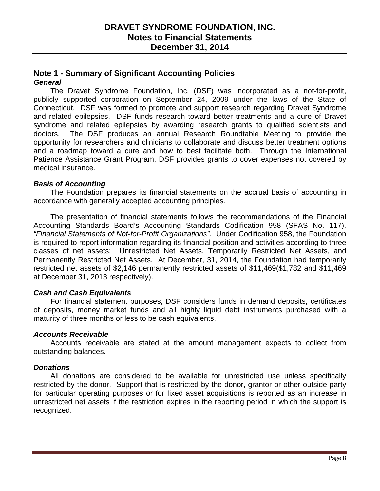### **Note 1 - Summary of Significant Accounting Policies** *General*

The Dravet Syndrome Foundation, Inc. (DSF) was incorporated as a not-for-profit, publicly supported corporation on September 24, 2009 under the laws of the State of Connecticut. DSF was formed to promote and support research regarding Dravet Syndrome and related epilepsies. DSF funds research toward better treatments and a cure of Dravet syndrome and related epilepsies by awarding research grants to qualified scientists and doctors. The DSF produces an annual Research Roundtable Meeting to provide the opportunity for researchers and clinicians to collaborate and discuss better treatment options and a roadmap toward a cure and how to best facilitate both. Through the International Patience Assistance Grant Program, DSF provides grants to cover expenses not covered by medical insurance.

#### *Basis of Accounting*

The Foundation prepares its financial statements on the accrual basis of accounting in accordance with generally accepted accounting principles.

The presentation of financial statements follows the recommendations of the Financial Accounting Standards Board's Accounting Standards Codification 958 (SFAS No. 117), *"Financial Statements of Not-for-Profit Organizations"*. Under Codification 958, the Foundation is required to report information regarding its financial position and activities according to three classes of net assets: Unrestricted Net Assets, Temporarily Restricted Net Assets, and Permanently Restricted Net Assets. At December, 31, 2014, the Foundation had temporarily restricted net assets of \$2,146 permanently restricted assets of \$11,469(\$1,782 and \$11,469 at December 31, 2013 respectively).

### *Cash and Cash Equivalents*

For financial statement purposes, DSF considers funds in demand deposits, certificates of deposits, money market funds and all highly liquid debt instruments purchased with a maturity of three months or less to be cash equivalents.

#### *Accounts Receivable*

Accounts receivable are stated at the amount management expects to collect from outstanding balances.

#### *Donations*

All donations are considered to be available for unrestricted use unless specifically restricted by the donor. Support that is restricted by the donor, grantor or other outside party for particular operating purposes or for fixed asset acquisitions is reported as an increase in unrestricted net assets if the restriction expires in the reporting period in which the support is recognized.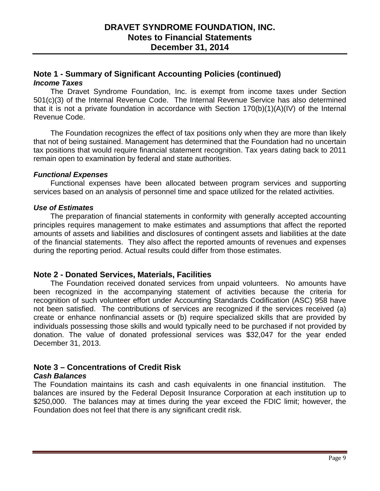### **Note 1 - Summary of Significant Accounting Policies (continued)** *Income Taxes*

The Dravet Syndrome Foundation, Inc. is exempt from income taxes under Section 501(c)(3) of the Internal Revenue Code. The Internal Revenue Service has also determined that it is not a private foundation in accordance with Section 170(b)(1)(A)(IV) of the Internal Revenue Code.

The Foundation recognizes the effect of tax positions only when they are more than likely that not of being sustained. Management has determined that the Foundation had no uncertain tax positions that would require financial statement recognition. Tax years dating back to 2011 remain open to examination by federal and state authorities.

#### *Functional Expenses*

Functional expenses have been allocated between program services and supporting services based on an analysis of personnel time and space utilized for the related activities.

#### *Use of Estimates*

The preparation of financial statements in conformity with generally accepted accounting principles requires management to make estimates and assumptions that affect the reported amounts of assets and liabilities and disclosures of contingent assets and liabilities at the date of the financial statements. They also affect the reported amounts of revenues and expenses during the reporting period. Actual results could differ from those estimates.

#### **Note 2 - Donated Services, Materials, Facilities**

The Foundation received donated services from unpaid volunteers. No amounts have been recognized in the accompanying statement of activities because the criteria for recognition of such volunteer effort under Accounting Standards Codification (ASC) 958 have not been satisfied. The contributions of services are recognized if the services received (a) create or enhance nonfinancial assets or (b) require specialized skills that are provided by individuals possessing those skills and would typically need to be purchased if not provided by donation. The value of donated professional services was \$32,047 for the year ended December 31, 2013.

# **Note 3 – Concentrations of Credit Risk**

### *Cash Balances*

The Foundation maintains its cash and cash equivalents in one financial institution. The balances are insured by the Federal Deposit Insurance Corporation at each institution up to \$250,000. The balances may at times during the year exceed the FDIC limit; however, the Foundation does not feel that there is any significant credit risk.